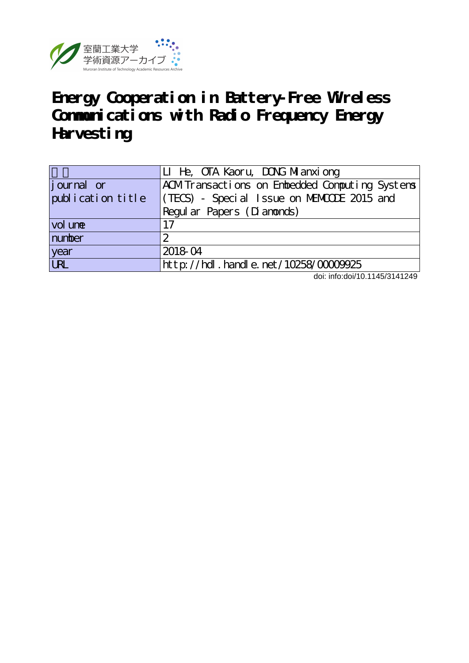

|                    | LI He, OTA Kaoru, DONG Milanxiong             |  |  |  |  |
|--------------------|-----------------------------------------------|--|--|--|--|
| <i>j</i> ournal or | ACMTransactions on Embedded Computing Systems |  |  |  |  |
| publication title  | (TECS) - Special Issue on MEMODE 2015 and     |  |  |  |  |
|                    | Regular Papers (Dianonds)                     |  |  |  |  |
| vol une            | 17                                            |  |  |  |  |
| number             | 2                                             |  |  |  |  |
| year<br>URL        | 2018-04                                       |  |  |  |  |
|                    | $http$ : //hdl. handle. net /10258/0000925    |  |  |  |  |

doi: info:doi/10.1145/3141249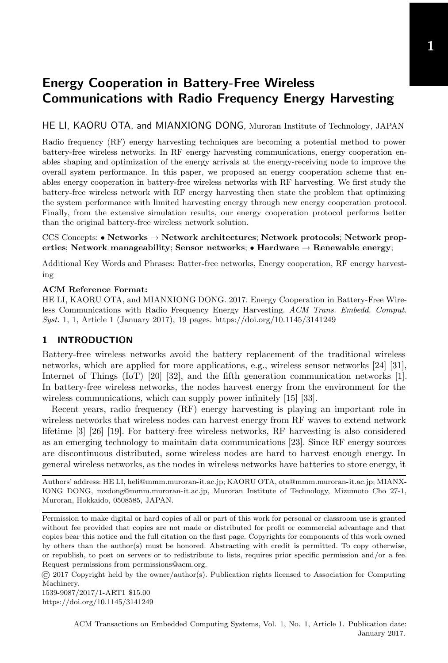# HE LI, KAORU OTA, and MIANXIONG DONG, Muroran Institute of Technology, JAPAN

Radio frequency (RF) energy harvesting techniques are becoming a potential method to power battery-free wireless networks. In RF energy harvesting communications, energy cooperation enables shaping and optimization of the energy arrivals at the energy-receiving node to improve the overall system performance. In this paper, we proposed an energy cooperation scheme that enables energy cooperation in battery-free wireless networks with RF harvesting. We first study the battery-free wireless network with RF energy harvesting then state the problem that optimizing the system performance with limited harvesting energy through new energy cooperation protocol. Finally, from the extensive simulation results, our energy cooperation protocol performs better than the original battery-free wireless network solution.

#### CCS Concepts: • Networks  $\rightarrow$  Network architectures; Network protocols; Network properties; Network manageability; Sensor networks; • Hardware  $\rightarrow$  Renewable energy;

Additional Key Words and Phrases: Batter-free networks, Energy cooperation, RF energy harvesting

#### ACM Reference Format:

HE LI, KAORU OTA, and MIANXIONG DONG. 2017. Energy Cooperation in Battery-Free Wireless Communications with Radio Frequency Energy Harvesting. ACM Trans. Embedd. Comput. Syst. 1, 1, Article 1 (January 2017), [19](#page-19-0) pages.<https://doi.org/10.1145/3141249>

# 1 INTRODUCTION

Battery-free wireless networks avoid the battery replacement of the traditional wireless networks, which are applied for more applications, e.g., wireless sensor networks [\[24\]](#page-18-0) [\[31](#page-18-1)], Internet of Things (IoT) [\[20](#page-18-2)] [\[32](#page-18-3)], and the fifth generation communication networks [\[1\]](#page-17-0). In battery-free wireless networks, the nodes harvest energy from the environment for the wireless communications, which can supply power infinitely [\[15\]](#page-17-1) [\[33](#page-18-4)].

Recent years, radio frequency (RF) energy harvesting is playing an important role in wireless networks that wireless nodes can harvest energy from RF waves to extend network lifetime [\[3](#page-17-2)] [\[26\]](#page-18-5) [\[19](#page-18-6)]. For battery-free wireless networks, RF harvesting is also considered as an emerging technology to maintain data communications [\[23\]](#page-18-7). Since RF energy sources are discontinuous distributed, some wireless nodes are hard to harvest enough energy. In general wireless networks, as the nodes in wireless networks have batteries to store energy, it

Authors' address: HE LI, heli@mmm.muroran-it.ac.jp; KAORU OTA, ota@mmm.muroran-it.ac.jp; MIANX-IONG DONG, mxdong@mmm.muroran-it.ac.jp, Muroran Institute of Technology, Mizumoto Cho 27-1, Muroran, Hokkaido, 0508585, JAPAN.

Permission to make digital or hard copies of all or part of this work for personal or classroom use is granted without fee provided that copies are not made or distributed for profit or commercial advantage and that copies bear this notice and the full citation on the first page. Copyrights for components of this work owned by others than the author(s) must be honored. Abstracting with credit is permitted. To copy otherwise, or republish, to post on servers or to redistribute to lists, requires prior specific permission and/or a fee. Request permissions from permissions@acm.org.

© 2017 Copyright held by the owner/author(s). Publication rights licensed to Association for Computing Machinery.

1539-9087/2017/1-ART1 \$15.00 <https://doi.org/10.1145/3141249> 1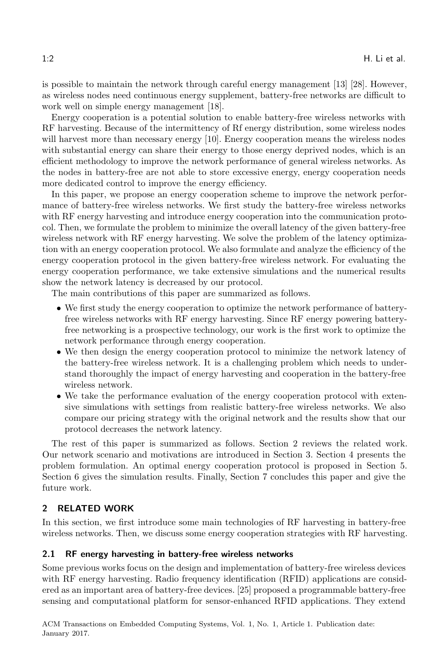is possible to maintain the network through careful energy management [\[13\]](#page-17-3) [\[28](#page-18-8)]. However, as wireless nodes need continuous energy supplement, battery-free networks are difficult to work well on simple energy management [\[18\]](#page-18-9).

Energy cooperation is a potential solution to enable battery-free wireless networks with RF harvesting. Because of the intermittency of Rf energy distribution, some wireless nodes will harvest more than necessary energy [\[10\]](#page-17-4). Energy cooperation means the wireless nodes with substantial energy can share their energy to those energy deprived nodes, which is an efficient methodology to improve the network performance of general wireless networks. As the nodes in battery-free are not able to store excessive energy, energy cooperation needs more dedicated control to improve the energy efficiency.

In this paper, we propose an energy cooperation scheme to improve the network performance of battery-free wireless networks. We first study the battery-free wireless networks with RF energy harvesting and introduce energy cooperation into the communication protocol. Then, we formulate the problem to minimize the overall latency of the given battery-free wireless network with RF energy harvesting. We solve the problem of the latency optimization with an energy cooperation protocol. We also formulate and analyze the efficiency of the energy cooperation protocol in the given battery-free wireless network. For evaluating the energy cooperation performance, we take extensive simulations and the numerical results show the network latency is decreased by our protocol.

The main contributions of this paper are summarized as follows.

- We first study the energy cooperation to optimize the network performance of batteryfree wireless networks with RF energy harvesting. Since RF energy powering batteryfree networking is a prospective technology, our work is the first work to optimize the network performance through energy cooperation.
- We then design the energy cooperation protocol to minimize the network latency of the battery-free wireless network. It is a challenging problem which needs to understand thoroughly the impact of energy harvesting and cooperation in the battery-free wireless network.
- We take the performance evaluation of the energy cooperation protocol with extensive simulations with settings from realistic battery-free wireless networks. We also compare our pricing strategy with the original network and the results show that our protocol decreases the network latency.

The rest of this paper is summarized as follows. Section [2](#page-2-0) reviews the related work. Our network scenario and motivations are introduced in Section [3.](#page-4-0) Section [4](#page-6-0) presents the problem formulation. An optimal energy cooperation protocol is proposed in Section [5.](#page-9-0) Section [6](#page-12-0) gives the simulation results. Finally, Section [7](#page-16-0) concludes this paper and give the future work.

# <span id="page-2-0"></span>2 RELATED WORK

In this section, we first introduce some main technologies of RF harvesting in battery-free wireless networks. Then, we discuss some energy cooperation strategies with RF harvesting.

#### 2.1 RF energy harvesting in battery-free wireless networks

Some previous works focus on the design and implementation of battery-free wireless devices with RF energy harvesting. Radio frequency identification (RFID) applications are considered as an important area of battery-free devices. [\[25](#page-18-10)] proposed a programmable battery-free sensing and computational platform for sensor-enhanced RFID applications. They extend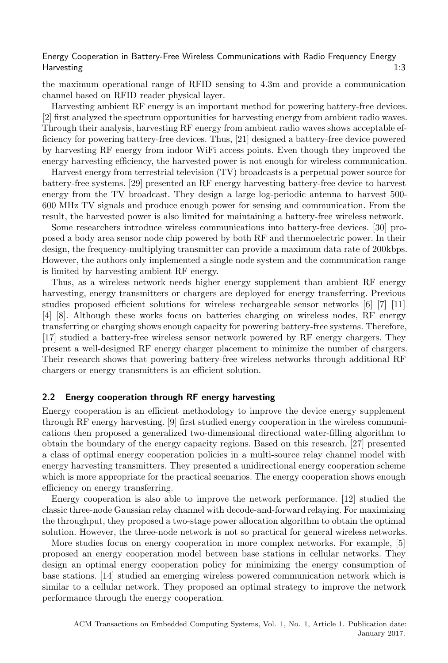the maximum operational range of RFID sensing to 4.3m and provide a communication channel based on RFID reader physical layer.

Harvesting ambient RF energy is an important method for powering battery-free devices. [\[2\]](#page-17-5) first analyzed the spectrum opportunities for harvesting energy from ambient radio waves. Through their analysis, harvesting RF energy from ambient radio waves shows acceptable efficiency for powering battery-free devices. Thus, [\[21\]](#page-18-11) designed a battery-free device powered by harvesting RF energy from indoor WiFi access points. Even though they improved the energy harvesting efficiency, the harvested power is not enough for wireless communication.

Harvest energy from terrestrial television (TV) broadcasts is a perpetual power source for battery-free systems. [\[29](#page-18-12)] presented an RF energy harvesting battery-free device to harvest energy from the TV broadcast. They design a large log-periodic antenna to harvest 500- 600 MHz TV signals and produce enough power for sensing and communication. From the result, the harvested power is also limited for maintaining a battery-free wireless network.

Some researchers introduce wireless communications into battery-free devices. [\[30](#page-18-13)] proposed a body area sensor node chip powered by both RF and thermoelectric power. In their design, the frequency-multiplying transmitter can provide a maximum data rate of 200kbps. However, the authors only implemented a single node system and the communication range is limited by harvesting ambient RF energy.

Thus, as a wireless network needs higher energy supplement than ambient RF energy harvesting, energy transmitters or chargers are deployed for energy transferring. Previous studies proposed efficient solutions for wireless rechargeable sensor networks [\[6\]](#page-17-6) [\[7](#page-17-7)] [\[11\]](#page-17-8) [\[4\]](#page-17-9) [\[8\]](#page-17-10). Although these works focus on batteries charging on wireless nodes, RF energy transferring or charging shows enough capacity for powering battery-free systems. Therefore, [\[17\]](#page-18-14) studied a battery-free wireless sensor network powered by RF energy chargers. They present a well-designed RF energy charger placement to minimize the number of chargers. Their research shows that powering battery-free wireless networks through additional RF chargers or energy transmitters is an efficient solution.

#### 2.2 Energy cooperation through RF energy harvesting

Energy cooperation is an efficient methodology to improve the device energy supplement through RF energy harvesting. [\[9](#page-17-11)] first studied energy cooperation in the wireless communications then proposed a generalized two-dimensional directional water-filling algorithm to obtain the boundary of the energy capacity regions. Based on this research, [\[27\]](#page-18-15) presented a class of optimal energy cooperation policies in a multi-source relay channel model with energy harvesting transmitters. They presented a unidirectional energy cooperation scheme which is more appropriate for the practical scenarios. The energy cooperation shows enough efficiency on energy transferring.

Energy cooperation is also able to improve the network performance. [\[12](#page-17-12)] studied the classic three-node Gaussian relay channel with decode-and-forward relaying. For maximizing the throughput, they proposed a two-stage power allocation algorithm to obtain the optimal solution. However, the three-node network is not so practical for general wireless networks.

More studies focus on energy cooperation in more complex networks. For example, [\[5](#page-17-13)] proposed an energy cooperation model between base stations in cellular networks. They design an optimal energy cooperation policy for minimizing the energy consumption of base stations. [\[14](#page-17-14)] studied an emerging wireless powered communication network which is similar to a cellular network. They proposed an optimal strategy to improve the network performance through the energy cooperation.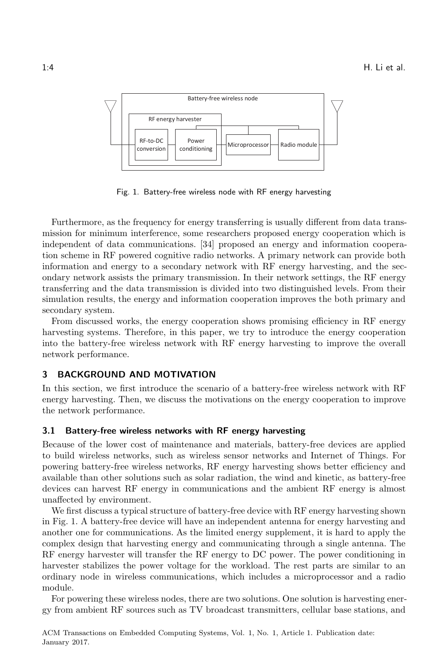<span id="page-4-1"></span>

Fig. 1. Battery-free wireless node with RF energy harvesting

Furthermore, as the frequency for energy transferring is usually different from data transmission for minimum interference, some researchers proposed energy cooperation which is independent of data communications. [\[34](#page-19-1)] proposed an energy and information cooperation scheme in RF powered cognitive radio networks. A primary network can provide both information and energy to a secondary network with RF energy harvesting, and the secondary network assists the primary transmission. In their network settings, the RF energy transferring and the data transmission is divided into two distinguished levels. From their simulation results, the energy and information cooperation improves the both primary and secondary system.

From discussed works, the energy cooperation shows promising efficiency in RF energy harvesting systems. Therefore, in this paper, we try to introduce the energy cooperation into the battery-free wireless network with RF energy harvesting to improve the overall network performance.

## <span id="page-4-0"></span>3 BACKGROUND AND MOTIVATION

In this section, we first introduce the scenario of a battery-free wireless network with RF energy harvesting. Then, we discuss the motivations on the energy cooperation to improve the network performance.

#### 3.1 Battery-free wireless networks with RF energy harvesting

Because of the lower cost of maintenance and materials, battery-free devices are applied to build wireless networks, such as wireless sensor networks and Internet of Things. For powering battery-free wireless networks, RF energy harvesting shows better efficiency and available than other solutions such as solar radiation, the wind and kinetic, as battery-free devices can harvest RF energy in communications and the ambient RF energy is almost unaffected by environment.

We first discuss a typical structure of battery-free device with RF energy harvesting shown in Fig. [1.](#page-4-1) A battery-free device will have an independent antenna for energy harvesting and another one for communications. As the limited energy supplement, it is hard to apply the complex design that harvesting energy and communicating through a single antenna. The RF energy harvester will transfer the RF energy to DC power. The power conditioning in harvester stabilizes the power voltage for the workload. The rest parts are similar to an ordinary node in wireless communications, which includes a microprocessor and a radio module.

For powering these wireless nodes, there are two solutions. One solution is harvesting energy from ambient RF sources such as TV broadcast transmitters, cellular base stations, and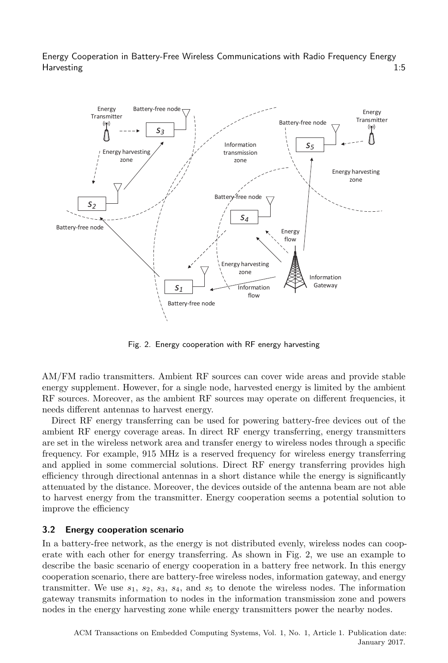<span id="page-5-0"></span>

Fig. 2. Energy cooperation with RF energy harvesting

AM/FM radio transmitters. Ambient RF sources can cover wide areas and provide stable energy supplement. However, for a single node, harvested energy is limited by the ambient RF sources. Moreover, as the ambient RF sources may operate on different frequencies, it needs different antennas to harvest energy.

Direct RF energy transferring can be used for powering battery-free devices out of the ambient RF energy coverage areas. In direct RF energy transferring, energy transmitters are set in the wireless network area and transfer energy to wireless nodes through a specific frequency. For example, 915 MHz is a reserved frequency for wireless energy transferring and applied in some commercial solutions. Direct RF energy transferring provides high efficiency through directional antennas in a short distance while the energy is significantly attenuated by the distance. Moreover, the devices outside of the antenna beam are not able to harvest energy from the transmitter. Energy cooperation seems a potential solution to improve the efficiency

# 3.2 Energy cooperation scenario

In a battery-free network, as the energy is not distributed evenly, wireless nodes can cooperate with each other for energy transferring. As shown in Fig. [2,](#page-5-0) we use an example to describe the basic scenario of energy cooperation in a battery free network. In this energy cooperation scenario, there are battery-free wireless nodes, information gateway, and energy transmitter. We use  $s_1$ ,  $s_2$ ,  $s_3$ ,  $s_4$ , and  $s_5$  to denote the wireless nodes. The information gateway transmits information to nodes in the information transmission zone and powers nodes in the energy harvesting zone while energy transmitters power the nearby nodes.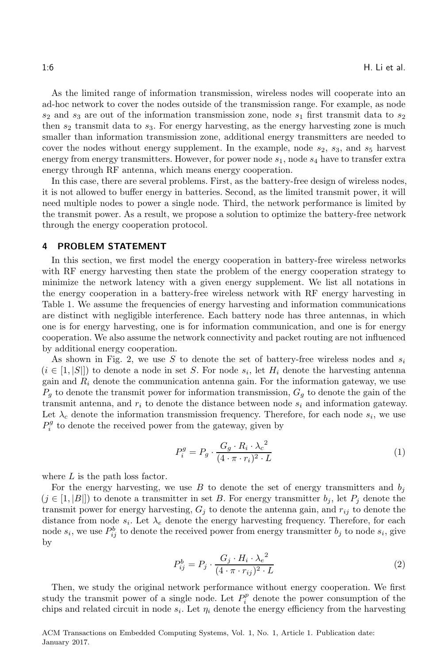As the limited range of information transmission, wireless nodes will cooperate into an ad-hoc network to cover the nodes outside of the transmission range. For example, as node  $s_2$  and  $s_3$  are out of the information transmission zone, node  $s_1$  first transmit data to  $s_2$ then  $s_2$  transmit data to  $s_3$ . For energy harvesting, as the energy harvesting zone is much smaller than information transmission zone, additional energy transmitters are needed to cover the nodes without energy supplement. In the example, node  $s_2$ ,  $s_3$ , and  $s_5$  harvest energy from energy transmitters. However, for power node  $s_1$ , node  $s_4$  have to transfer extra energy through RF antenna, which means energy cooperation.

In this case, there are several problems. First, as the battery-free design of wireless nodes, it is not allowed to buffer energy in batteries. Second, as the limited transmit power, it will need multiple nodes to power a single node. Third, the network performance is limited by the transmit power. As a result, we propose a solution to optimize the battery-free network through the energy cooperation protocol.

#### <span id="page-6-0"></span>4 PROBLEM STATEMENT

In this section, we first model the energy cooperation in battery-free wireless networks with RF energy harvesting then state the problem of the energy cooperation strategy to minimize the network latency with a given energy supplement. We list all notations in the energy cooperation in a battery-free wireless network with RF energy harvesting in Table [1.](#page-7-0) We assume the frequencies of energy harvesting and information communications are distinct with negligible interference. Each battery node has three antennas, in which one is for energy harvesting, one is for information communication, and one is for energy cooperation. We also assume the network connectivity and packet routing are not influenced by additional energy cooperation.

As shown in Fig. [2,](#page-5-0) we use S to denote the set of battery-free wireless nodes and  $s_i$  $(i \in [1, |S|])$  to denote a node in set S. For node  $s_i$ , let  $H_i$  denote the harvesting antenna gain and  $R_i$  denote the communication antenna gain. For the information gateway, we use  $P_g$  to denote the transmit power for information transmission,  $G_g$  to denote the gain of the transmit antenna, and  $r_i$  to denote the distance between node  $s_i$  and information gateway. Let  $\lambda_c$  denote the information transmission frequency. Therefore, for each node  $s_i$ , we use  $P_i^g$  to denote the received power from the gateway, given by

$$
P_i^g = P_g \cdot \frac{G_g \cdot R_i \cdot \lambda_c^2}{(4 \cdot \pi \cdot r_i)^2 \cdot L} \tag{1}
$$

where  $L$  is the path loss factor.

For the energy harvesting, we use B to denote the set of energy transmitters and  $b_i$  $(j \in [1, |B|])$  to denote a transmitter in set B. For energy transmitter  $b_j$ , let  $P_j$  denote the transmit power for energy harvesting,  $G_i$  to denote the antenna gain, and  $r_{ij}$  to denote the distance from node  $s_i$ . Let  $\lambda_e$  denote the energy harvesting frequency. Therefore, for each node  $s_i$ , we use  $P_{ij}^b$  to denote the received power from energy transmitter  $b_j$  to node  $s_i$ , give by

$$
P_{ij}^b = P_j \cdot \frac{G_j \cdot H_i \cdot \lambda_e^2}{(4 \cdot \pi \cdot r_{ij})^2 \cdot L} \tag{2}
$$

Then, we study the original network performance without energy cooperation. We first study the transmit power of a single node. Let  $P_i^p$  denote the power consumption of the chips and related circuit in node  $s_i$ . Let  $\eta_i$  denote the energy efficiency from the harvesting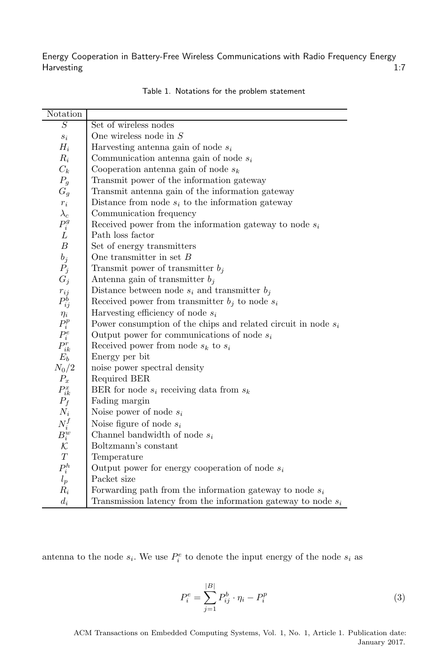<span id="page-7-0"></span>

| Notation                                          |                                                                  |
|---------------------------------------------------|------------------------------------------------------------------|
| $\overline{S}$                                    | Set of wireless nodes                                            |
| $\mathfrak{s}_i$                                  | One wireless node in $S$                                         |
| $H_i$                                             | Harvesting antenna gain of node $s_i$                            |
| $R_i$                                             | Communication antenna gain of node $s_i$                         |
| $C_k$                                             | Cooperation antenna gain of node $s_k$                           |
| $P_g$                                             | Transmit power of the information gateway                        |
| $G_g$                                             | Transmit antenna gain of the information gateway                 |
| $\boldsymbol{r}_i$                                | Distance from node $s_i$ to the information gateway              |
| $\lambda_c$                                       | Communication frequency                                          |
| $P_i^g$                                           | Received power from the information gateway to node $s_i$        |
| L                                                 | Path loss factor                                                 |
| $\boldsymbol{B}$                                  | Set of energy transmitters                                       |
| $b_j$                                             | One transmitter in set $B$                                       |
| $P_j$                                             | Transmit power of transmitter $b_j$                              |
| $G_j$                                             | Antenna gain of transmitter $b_j$                                |
| $\begin{array}{c} r_{ij} \\ P_{ij}^b \end{array}$ | Distance between node $s_i$ and transmitter $b_j$                |
|                                                   | Received power from transmitter $b_j$ to node $s_i$              |
|                                                   | Harvesting efficiency of node $s_i$                              |
| $\displaystyle \Pr_{i}$                           | Power consumption of the chips and related circuit in node $s_i$ |
| $P^e_i$                                           | Output power for communications of node $s_i$                    |
| ${\cal P}_{ik}^r$                                 | Received power from node $s_k$ to $s_i$                          |
| $E_b$                                             | Energy per bit                                                   |
| $N_0/2$                                           | noise power spectral density                                     |
| $P_x$                                             | Required BER                                                     |
| ${\cal P}^x_{ik}$                                 | BER for node $s_i$ receiving data from $s_k$                     |
| $P_f$                                             | Fading margin                                                    |
| $N_i$                                             | Noise power of node $s_i$                                        |
| $N_i^f$                                           | Noise figure of node $s_i$                                       |
| $B_i^w$                                           | Channel bandwidth of node $s_i$                                  |
|                                                   | Boltzmann's constant                                             |
| $\cal T$                                          | Temperature                                                      |
| $\mathcal{P}^h_i$                                 | Output power for energy cooperation of node $s_i$                |
| $l_p$                                             | Packet size                                                      |
| $R_i$                                             | Forwarding path from the information gateway to node $s_i$       |
| $d_i$                                             | Transmission latency from the information gateway to node $s_i$  |

|  | Table 1. Notations for the problem statement |  |  |  |  |
|--|----------------------------------------------|--|--|--|--|
|--|----------------------------------------------|--|--|--|--|

antenna to the node  $s_i$ . We use  $P_i^e$  to denote the input energy of the node  $s_i$  as

$$
P_i^e = \sum_{j=1}^{|B|} P_{ij}^b \cdot \eta_i - P_i^p \tag{3}
$$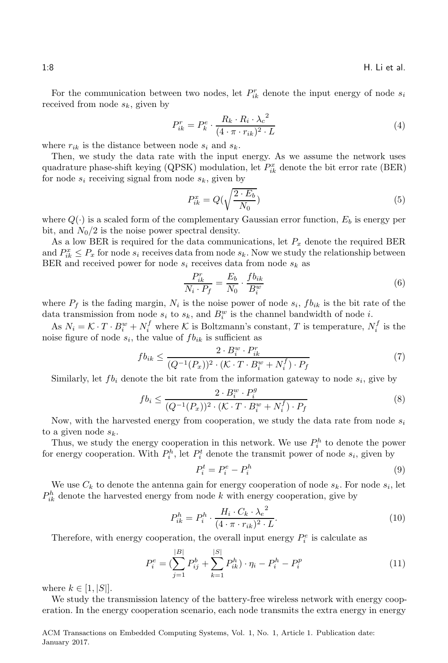For the communication between two nodes, let  $P_{ik}^r$  denote the input energy of node  $s_i$ received from node  $s_k$ , given by

$$
P_{ik}^r = P_k^e \cdot \frac{R_k \cdot R_i \cdot {\lambda_c}^2}{(4 \cdot \pi \cdot r_{ik})^2 \cdot L} \tag{4}
$$

where  $r_{ik}$  is the distance between node  $s_i$  and  $s_k$ .

Then, we study the data rate with the input energy. As we assume the network uses quadrature phase-shift keying (QPSK) modulation, let  $P_{ik}^x$  denote the bit error rate (BER) for node  $s_i$  receiving signal from node  $s_k$ , given by

$$
P_{ik}^x = Q(\sqrt{\frac{2 \cdot E_b}{N_0}})
$$
\n
$$
\tag{5}
$$

where  $Q(\cdot)$  is a scaled form of the complementary Gaussian error function,  $E_b$  is energy per bit, and  $N_0/2$  is the noise power spectral density.

As a low BER is required for the data communications, let  $P_x$  denote the required BER and  $P_{ik}^x \leq P_x$  for node  $s_i$  receives data from node  $s_k$ . Now we study the relationship between BER and received power for node  $s_i$  receives data from node  $s_k$  as

$$
\frac{P_{ik}^r}{N_i \cdot P_f} = \frac{E_b}{N_0} \cdot \frac{fb_{ik}}{B_i^w} \tag{6}
$$

where  $P_f$  is the fading margin,  $N_i$  is the noise power of node  $s_i$ ,  $fb_{ik}$  is the bit rate of the data transmission from node  $s_i$  to  $s_k$ , and  $B_i^w$  is the channel bandwidth of node *i*.

As  $N_i = \mathcal{K} \cdot T \cdot B_i^w + N_i^f$  where  $\mathcal{K}$  is Boltzmann's constant, T is temperature,  $N_i^f$  is the noise figure of node  $s_i$ , the value of  $fb_{ik}$  is sufficient as

$$
fb_{ik} \leq \frac{2 \cdot B_i^w \cdot P_{ik}^r}{(Q^{-1}(P_x))^2 \cdot (\mathcal{K} \cdot T \cdot B_i^w + N_i^f) \cdot P_f}
$$
\n
$$
\tag{7}
$$

Similarly, let  $fb_i$  denote the bit rate from the information gateway to node  $s_i$ , give by

$$
fb_i \le \frac{2 \cdot B_i^w \cdot P_i^g}{(Q^{-1}(P_x))^2 \cdot (\mathcal{K} \cdot T \cdot B_i^w + N_i^f) \cdot P_f}
$$
\n
$$
(8)
$$

Now, with the harvested energy from cooperation, we study the data rate from node  $s_i$ to a given node  $s_k$ .

Thus, we study the energy cooperation in this network. We use  $P_i^h$  to denote the power for energy cooperation. With  $P_i^h$ , let  $P_i^t$  denote the transmit power of node  $s_i$ , given by

$$
P_i^t = P_i^e - P_i^h \tag{9}
$$

We use  $C_k$  to denote the antenna gain for energy cooperation of node  $s_k$ . For node  $s_i$ , let  $P_{ik}^h$  denote the harvested energy from node k with energy cooperation, give by

$$
P_{ik}^h = P_i^h \cdot \frac{H_i \cdot C_k \cdot \lambda_e^2}{(4 \cdot \pi \cdot r_{ik})^2 \cdot L}.
$$
\n(10)

Therefore, with energy cooperation, the overall input energy  $P_i^e$  is calculate as

$$
P_i^e = \left(\sum_{j=1}^{|B|} P_{ij}^b + \sum_{k=1}^{|S|} P_{ik}^h\right) \cdot \eta_i - P_i^h - P_i^p \tag{11}
$$

where  $k \in [1, |S|]$ .

We study the transmission latency of the battery-free wireless network with energy cooperation. In the energy cooperation scenario, each node transmits the extra energy in energy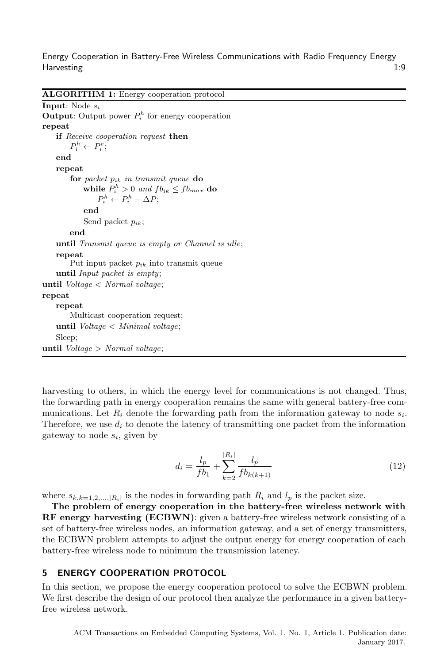ALGORITHM 1: Energy cooperation protocol

Input: Node s<sup>i</sup> **Output:** Output power  $P_i^h$  for energy cooperation repeat if Receive cooperation request then  $P_i^h \leftarrow P_i^e;$ end repeat for packet  $p_{ik}$  in transmit queue do while  $P_i^h > 0$  and  $fb_{ik} \leq fb_{max}$  do  $P_i^h \leftarrow P_i^h - \Delta P;$ end Send packet  $p_{ik}$ ; end until Transmit queue is empty or Channel is idle; repeat Put input packet  $p_{ik}$  into transmit queue until Input packet is empty; until  $Voltage < Normal voltage;$ repeat repeat Multicast cooperation request; until Voltage < Minimal voltage; Sleep; until  $Voltage > Normal voltage;$ 

<span id="page-9-1"></span>harvesting to others, in which the energy level for communications is not changed. Thus, the forwarding path in energy cooperation remains the same with general battery-free communications. Let  $R_i$  denote the forwarding path from the information gateway to node  $s_i$ . Therefore, we use  $d_i$  to denote the latency of transmitting one packet from the information gateway to node  $s_i$ , given by

$$
d_i = \frac{l_p}{fb_1} + \sum_{k=2}^{|R_i|} \frac{l_p}{fb_{k(k+1)}}
$$
\n(12)

where  $s_{k,k=1,2,...,|R_i|}$  is the nodes in forwarding path  $R_i$  and  $l_p$  is the packet size.

The problem of energy cooperation in the battery-free wireless network with RF energy harvesting (ECBWN): given a battery-free wireless network consisting of a set of battery-free wireless nodes, an information gateway, and a set of energy transmitters, the ECBWN problem attempts to adjust the output energy for energy cooperation of each battery-free wireless node to minimum the transmission latency.

# <span id="page-9-0"></span>5 ENERGY COOPERATION PROTOCOL

In this section, we propose the energy cooperation protocol to solve the ECBWN problem. We first describe the design of our protocol then analyze the performance in a given batteryfree wireless network.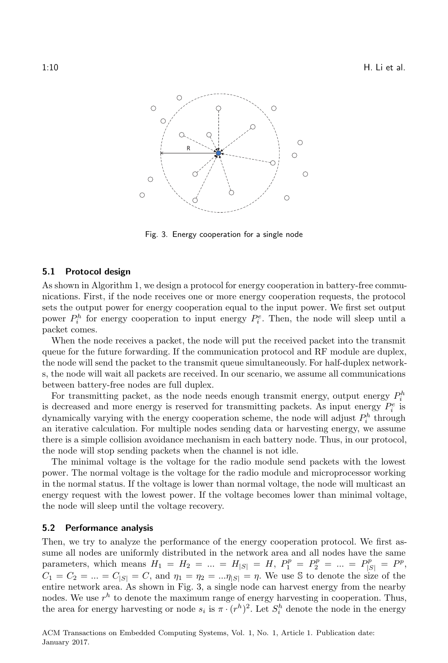<span id="page-10-0"></span>

Fig. 3. Energy cooperation for a single node

#### 5.1 Protocol design

As shown in Algorithm [1,](#page-9-1) we design a protocol for energy cooperation in battery-free communications. First, if the node receives one or more energy cooperation requests, the protocol sets the output power for energy cooperation equal to the input power. We first set output power  $P_i^h$  for energy cooperation to input energy  $P_i^e$ . Then, the node will sleep until a packet comes.

When the node receives a packet, the node will put the received packet into the transmit queue for the future forwarding. If the communication protocol and RF module are duplex, the node will send the packet to the transmit queue simultaneously. For half-duplex networks, the node will wait all packets are received. In our scenario, we assume all communications between battery-free nodes are full duplex.

For transmitting packet, as the node needs enough transmit energy, output energy  $P_i^h$ is decreased and more energy is reserved for transmitting packets. As input energy  $P_i^e$  is dynamically varying with the energy cooperation scheme, the node will adjust  $P_i^h$  through an iterative calculation. For multiple nodes sending data or harvesting energy, we assume there is a simple collision avoidance mechanism in each battery node. Thus, in our protocol, the node will stop sending packets when the channel is not idle.

The minimal voltage is the voltage for the radio module send packets with the lowest power. The normal voltage is the voltage for the radio module and microprocessor working in the normal status. If the voltage is lower than normal voltage, the node will multicast an energy request with the lowest power. If the voltage becomes lower than minimal voltage, the node will sleep until the voltage recovery.

#### 5.2 Performance analysis

Then, we try to analyze the performance of the energy cooperation protocol. We first assume all nodes are uniformly distributed in the network area and all nodes have the same parameters, which means  $H_1 = H_2 = ... = H_{|S|} = H$ ,  $P_1^p = P_2^p = ... = P_{|S|}^p = P^p$ ,  $C_1 = C_2 = ... = C_{|S|} = C$ , and  $\eta_1 = \eta_2 = ... \eta_{|S|} = \eta$ . We use S to denote the size of the entire network area. As shown in Fig. [3,](#page-10-0) a single node can harvest energy from the nearby nodes. We use  $r^h$  to denote the maximum range of energy harvesting in cooperation. Thus, the area for energy harvesting or node  $s_i$  is  $\pi \cdot (r^h)^2$ . Let  $S_i^h$  denote the node in the energy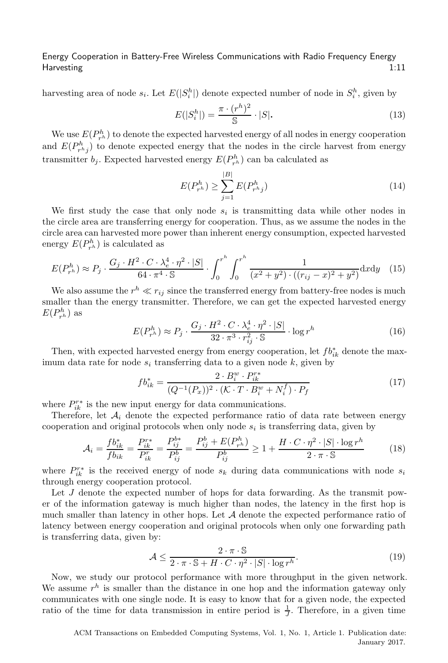harvesting area of node  $s_i$ . Let  $E(|S_i^h|)$  denote expected number of node in  $S_i^h$ , given by

$$
E(|S_i^h|) = \frac{\pi \cdot (r^h)^2}{\mathbb{S}} \cdot |S|.
$$
 (13)

We use  $E(P_{r^h}^h)$  to denote the expected harvested energy of all nodes in energy cooperation and  $E(P_{r^hj}^h)$  to denote expected energy that the nodes in the circle harvest from energy transmitter  $b_j$ . Expected harvested energy  $E(P_{r^h}^h)$  can ba calculated as

$$
E(P_{r^h}^h) \ge \sum_{j=1}^{|B|} E(P_{r^hj}^h)
$$
\n(14)

We first study the case that only node  $s_i$  is transmitting data while other nodes in the circle area are transferring energy for cooperation. Thus, as we assume the nodes in the circle area can harvested more power than inherent energy consumption, expected harvested energy  $E(P_{r^h}^h)$  is calculated as

$$
E(P_{r^h}^h) \approx P_j \cdot \frac{G_j \cdot H^2 \cdot C \cdot \lambda_e^4 \cdot \eta^2 \cdot |S|}{64 \cdot \pi^4 \cdot S} \cdot \int_0^{r^h} \int_0^{r^h} \frac{1}{(x^2 + y^2) \cdot ((r_{ij} - x)^2 + y^2)} dxdy \quad (15)
$$

We also assume the  $r^h \ll r_{ij}$  since the transferred energy from battery-free nodes is much smaller than the energy transmitter. Therefore, we can get the expected harvested energy  $E(P_{r^h}^h)$  as

$$
E(P_{r^h}^h) \approx P_j \cdot \frac{G_j \cdot H^2 \cdot C \cdot \lambda_e^4 \cdot \eta^2 \cdot |S|}{32 \cdot \pi^3 \cdot r_{ij}^2 \cdot S} \cdot \log r^h \tag{16}
$$

Then, with expected harvested energy from energy cooperation, let  $fb_{ik}^*$  denote the maximum data rate for node  $s_i$  transferring data to a given node  $k$ , given by

$$
fb_{ik}^{*} = \frac{2 \cdot B_i^w \cdot P_{ik}^{r*}}{(Q^{-1}(P_x))^2 \cdot (\mathcal{K} \cdot T \cdot B_i^w + N_i^f) \cdot P_f}
$$
(17)

where  $P_{ik}^{r*}$  is the new input energy for data communications.

Therefore, let  $A_i$  denote the expected performance ratio of data rate between energy cooperation and original protocols when only node  $s_i$  is transferring data, given by

$$
\mathcal{A}_{i} = \frac{fb_{ik}^{*}}{fb_{ik}} = \frac{P_{ik}^{r*}}{P_{ik}^{r}} = \frac{P_{ij}^{b*}}{P_{ij}^{b}} = \frac{P_{ij}^{b} + E(P_{r^h}^h)}{P_{ij}^b} \ge 1 + \frac{H \cdot C \cdot \eta^2 \cdot |S| \cdot \log r^h}{2 \cdot \pi \cdot S}
$$
(18)

where  $P_{ik}^{r*}$  is the received energy of node  $s_k$  during data communications with node  $s_i$ through energy cooperation protocol.

Let J denote the expected number of hops for data forwarding. As the transmit power of the information gateway is much higher than nodes, the latency in the first hop is much smaller than latency in other hops. Let  $A$  denote the expected performance ratio of latency between energy cooperation and original protocols when only one forwarding path is transferring data, given by:

$$
\mathcal{A} \le \frac{2 \cdot \pi \cdot \mathbb{S}}{2 \cdot \pi \cdot \mathbb{S} + H \cdot C \cdot \eta^2 \cdot |S| \cdot \log r^h}.
$$
\n(19)

Now, we study our protocol performance with more throughput in the given network. We assume  $r^h$  is smaller than the distance in one hop and the information gateway only communicates with one single node. It is easy to know that for a given node, the expected ratio of the time for data transmission in entire period is  $\frac{1}{J}$ . Therefore, in a given time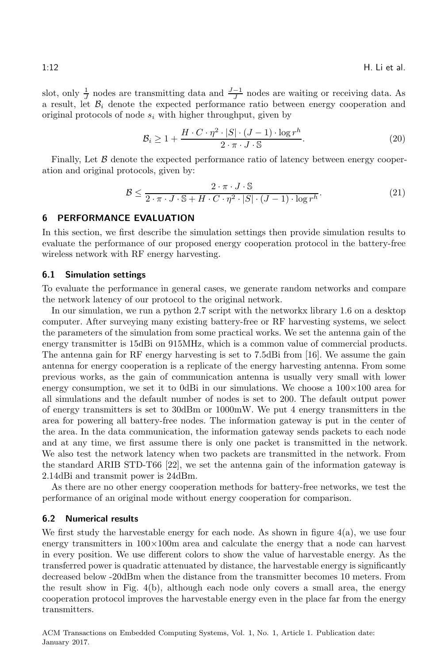slot, only  $\frac{1}{J}$  nodes are transmitting data and  $\frac{J-1}{J}$  nodes are waiting or receiving data. As a result, let  $B_i$  denote the expected performance ratio between energy cooperation and original protocols of node  $s_i$  with higher throughput, given by

$$
\mathcal{B}_i \ge 1 + \frac{H \cdot C \cdot \eta^2 \cdot |S| \cdot (J-1) \cdot \log r^h}{2 \cdot \pi \cdot J \cdot S}.
$$
\n
$$
(20)
$$

Finally, Let  $\beta$  denote the expected performance ratio of latency between energy cooperation and original protocols, given by:

$$
\mathcal{B} \le \frac{2 \cdot \pi \cdot J \cdot \mathbb{S}}{2 \cdot \pi \cdot J \cdot \mathbb{S} + H \cdot C \cdot \eta^2 \cdot |S| \cdot (J-1) \cdot \log r^h}.
$$
\n(21)

#### <span id="page-12-0"></span>6 PERFORMANCE EVALUATION

In this section, we first describe the simulation settings then provide simulation results to evaluate the performance of our proposed energy cooperation protocol in the battery-free wireless network with RF energy harvesting.

#### 6.1 Simulation settings

To evaluate the performance in general cases, we generate random networks and compare the network latency of our protocol to the original network.

In our simulation, we run a python 2.7 script with the networkx library 1.6 on a desktop computer. After surveying many existing battery-free or RF harvesting systems, we select the parameters of the simulation from some practical works. We set the antenna gain of the energy transmitter is 15dBi on 915MHz, which is a common value of commercial products. The antenna gain for RF energy harvesting is set to 7.5dBi from [\[16](#page-18-16)]. We assume the gain antenna for energy cooperation is a replicate of the energy harvesting antenna. From some previous works, as the gain of communication antenna is usually very small with lower energy consumption, we set it to 0dBi in our simulations. We choose a  $100\times100$  area for all simulations and the default number of nodes is set to 200. The default output power of energy transmitters is set to 30dBm or 1000mW. We put 4 energy transmitters in the area for powering all battery-free nodes. The information gateway is put in the center of the area. In the data communication, the information gateway sends packets to each node and at any time, we first assume there is only one packet is transmitted in the network. We also test the network latency when two packets are transmitted in the network. From the standard ARIB STD-T66 [\[22](#page-18-17)], we set the antenna gain of the information gateway is 2.14dBi and transmit power is 24dBm.

As there are no other energy cooperation methods for battery-free networks, we test the performance of an original mode without energy cooperation for comparison.

## 6.2 Numerical results

We first study the harvestable energy for each node. As shown in figure  $4(a)$ , we use four energy transmitters in  $100\times100m$  area and calculate the energy that a node can harvest in every position. We use different colors to show the value of harvestable energy. As the transferred power is quadratic attenuated by distance, the harvestable energy is significantly decreased below -20dBm when the distance from the transmitter becomes 10 meters. From the result show in Fig. [4\(b\),](#page-13-1) although each node only covers a small area, the energy cooperation protocol improves the harvestable energy even in the place far from the energy transmitters.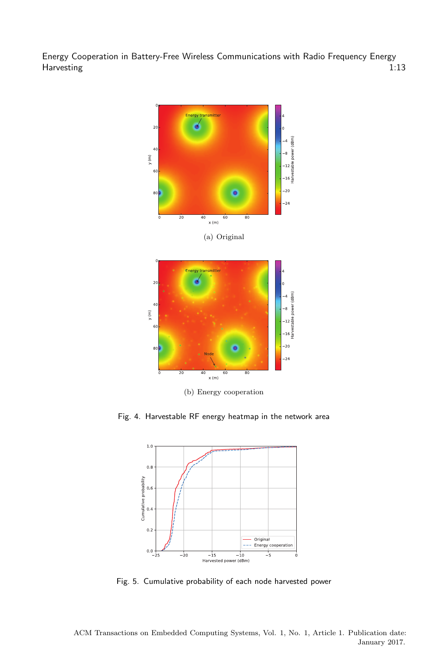<span id="page-13-0"></span>

<span id="page-13-2"></span><span id="page-13-1"></span>Fig. 4. Harvestable RF energy heatmap in the network area



Fig. 5. Cumulative probability of each node harvested power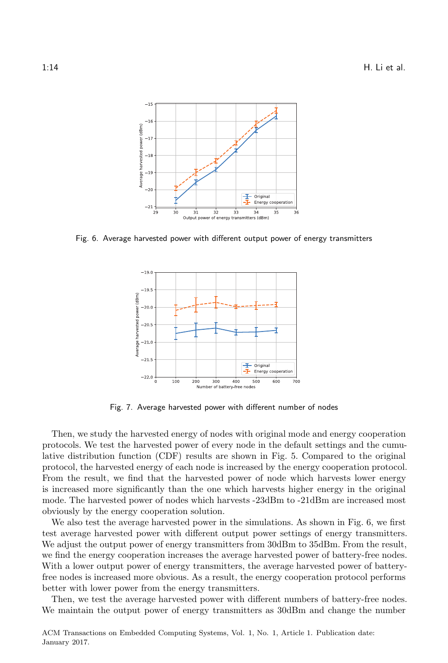<span id="page-14-0"></span>

<span id="page-14-1"></span>Fig. 6. Average harvested power with different output power of energy transmitters



Fig. 7. Average harvested power with different number of nodes

Then, we study the harvested energy of nodes with original mode and energy cooperation protocols. We test the harvested power of every node in the default settings and the cumulative distribution function (CDF) results are shown in Fig. [5.](#page-13-2) Compared to the original protocol, the harvested energy of each node is increased by the energy cooperation protocol. From the result, we find that the harvested power of node which harvests lower energy is increased more significantly than the one which harvests higher energy in the original mode. The harvested power of nodes which harvests -23dBm to -21dBm are increased most obviously by the energy cooperation solution.

We also test the average harvested power in the simulations. As shown in Fig. [6,](#page-14-0) we first test average harvested power with different output power settings of energy transmitters. We adjust the output power of energy transmitters from 30dBm to 35dBm. From the result, we find the energy cooperation increases the average harvested power of battery-free nodes. With a lower output power of energy transmitters, the average harvested power of batteryfree nodes is increased more obvious. As a result, the energy cooperation protocol performs better with lower power from the energy transmitters.

Then, we test the average harvested power with different numbers of battery-free nodes. We maintain the output power of energy transmitters as 30dBm and change the number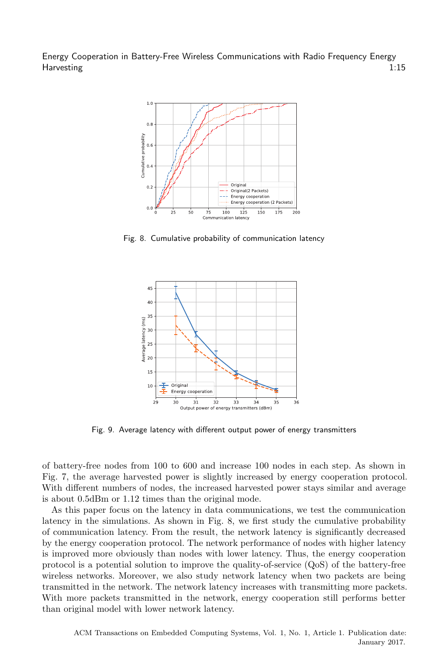<span id="page-15-0"></span>

<span id="page-15-1"></span>Fig. 8. Cumulative probability of communication latency



Fig. 9. Average latency with different output power of energy transmitters

of battery-free nodes from 100 to 600 and increase 100 nodes in each step. As shown in Fig. [7,](#page-14-1) the average harvested power is slightly increased by energy cooperation protocol. With different numbers of nodes, the increased harvested power stays similar and average is about 0.5dBm or 1.12 times than the original mode.

As this paper focus on the latency in data communications, we test the communication latency in the simulations. As shown in Fig. [8,](#page-15-0) we first study the cumulative probability of communication latency. From the result, the network latency is significantly decreased by the energy cooperation protocol. The network performance of nodes with higher latency is improved more obviously than nodes with lower latency. Thus, the energy cooperation protocol is a potential solution to improve the quality-of-service (QoS) of the battery-free wireless networks. Moreover, we also study network latency when two packets are being transmitted in the network. The network latency increases with transmitting more packets. With more packets transmitted in the network, energy cooperation still performs better than original model with lower network latency.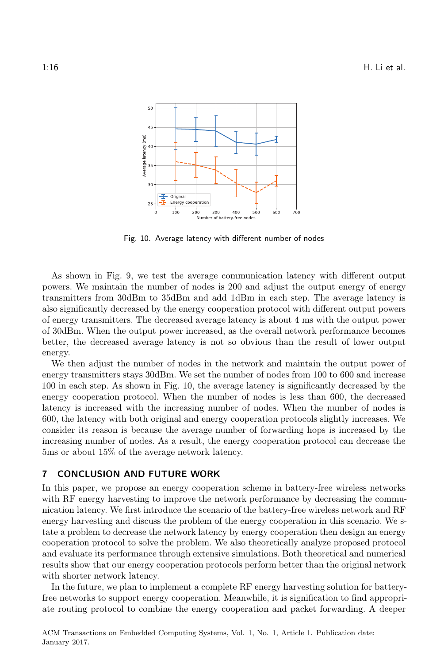<span id="page-16-1"></span>

Fig. 10. Average latency with different number of nodes

As shown in Fig. [9,](#page-15-1) we test the average communication latency with different output powers. We maintain the number of nodes is 200 and adjust the output energy of energy transmitters from 30dBm to 35dBm and add 1dBm in each step. The average latency is also significantly decreased by the energy cooperation protocol with different output powers of energy transmitters. The decreased average latency is about 4 ms with the output power of 30dBm. When the output power increased, as the overall network performance becomes better, the decreased average latency is not so obvious than the result of lower output energy.

We then adjust the number of nodes in the network and maintain the output power of energy transmitters stays 30dBm. We set the number of nodes from 100 to 600 and increase 100 in each step. As shown in Fig. [10,](#page-16-1) the average latency is significantly decreased by the energy cooperation protocol. When the number of nodes is less than 600, the decreased latency is increased with the increasing number of nodes. When the number of nodes is 600, the latency with both original and energy cooperation protocols slightly increases. We consider its reason is because the average number of forwarding hops is increased by the increasing number of nodes. As a result, the energy cooperation protocol can decrease the 5ms or about 15% of the average network latency.

# <span id="page-16-0"></span>7 CONCLUSION AND FUTURE WORK

In this paper, we propose an energy cooperation scheme in battery-free wireless networks with RF energy harvesting to improve the network performance by decreasing the communication latency. We first introduce the scenario of the battery-free wireless network and RF energy harvesting and discuss the problem of the energy cooperation in this scenario. We state a problem to decrease the network latency by energy cooperation then design an energy cooperation protocol to solve the problem. We also theoretically analyze proposed protocol and evaluate its performance through extensive simulations. Both theoretical and numerical results show that our energy cooperation protocols perform better than the original network with shorter network latency.

In the future, we plan to implement a complete RF energy harvesting solution for batteryfree networks to support energy cooperation. Meanwhile, it is signification to find appropriate routing protocol to combine the energy cooperation and packet forwarding. A deeper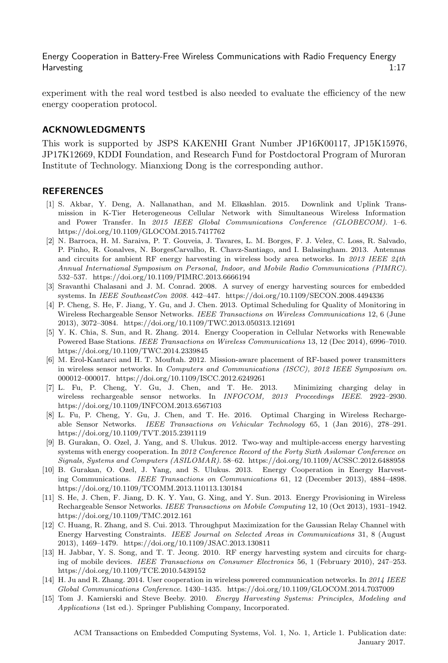experiment with the real word testbed is also needed to evaluate the efficiency of the new energy cooperation protocol.

#### ACKNOWLEDGMENTS

This work is supported by JSPS KAKENHI Grant Number JP16K00117, JP15K15976, JP17K12669, KDDI Foundation, and Research Fund for Postdoctoral Program of Muroran Institute of Technology. Mianxiong Dong is the corresponding author.

#### REFERENCES

- <span id="page-17-0"></span>[1] S. Akbar, Y. Deng, A. Nallanathan, and M. Elkashlan. 2015. Downlink and Uplink Transmission in K-Tier Heterogeneous Cellular Network with Simultaneous Wireless Information and Power Transfer. In *2015 IEEE Global Communications Conference (GLOBECOM)*. 1–6. <https://doi.org/10.1109/GLOCOM.2015.7417762>
- <span id="page-17-5"></span>[2] N. Barroca, H. M. Saraiva, P. T. Gouveia, J. Tavares, L. M. Borges, F. J. Velez, C. Loss, R. Salvado, P. Pinho, R. Gonalves, N. BorgesCarvalho, R. Chavz-Santiago, and I. Balasingham. 2013. Antennas and circuits for ambient RF energy harvesting in wireless body area networks. In *2013 IEEE 24th Annual International Symposium on Personal, Indoor, and Mobile Radio Communications (PIMRC)*. 532–537.<https://doi.org/10.1109/PIMRC.2013.6666194>
- <span id="page-17-2"></span>[3] Sravanthi Chalasani and J. M. Conrad. 2008. A survey of energy harvesting sources for embedded systems. In *IEEE SoutheastCon 2008*. 442–447.<https://doi.org/10.1109/SECON.2008.4494336>
- <span id="page-17-9"></span>[4] P. Cheng, S. He, F. Jiang, Y. Gu, and J. Chen. 2013. Optimal Scheduling for Quality of Monitoring in Wireless Rechargeable Sensor Networks. *IEEE Transactions on Wireless Communications* 12, 6 (June 2013), 3072–3084.<https://doi.org/10.1109/TWC.2013.050313.121691>
- <span id="page-17-13"></span>[5] Y. K. Chia, S. Sun, and R. Zhang. 2014. Energy Cooperation in Cellular Networks with Renewable Powered Base Stations. *IEEE Transactions on Wireless Communications* 13, 12 (Dec 2014), 6996–7010. <https://doi.org/10.1109/TWC.2014.2339845>
- <span id="page-17-6"></span>[6] M. Erol-Kantarci and H. T. Mouftah. 2012. Mission-aware placement of RF-based power transmitters in wireless sensor networks. In *Computers and Communications (ISCC), 2012 IEEE Symposium on*. 000012–000017.<https://doi.org/10.1109/ISCC.2012.6249261>
- <span id="page-17-7"></span>[7] L. Fu, P. Cheng, Y. Gu, J. Chen, and T. He. 2013. Minimizing charging delay in wireless rechargeable sensor networks. In *INFOCOM, 2013 Proceedings IEEE*. 2922–2930. <https://doi.org/10.1109/INFCOM.2013.6567103>
- <span id="page-17-10"></span>[8] L. Fu, P. Cheng, Y. Gu, J. Chen, and T. He. 2016. Optimal Charging in Wireless Rechargeable Sensor Networks. *IEEE Transactions on Vehicular Technology* 65, 1 (Jan 2016), 278–291. <https://doi.org/10.1109/TVT.2015.2391119>
- <span id="page-17-11"></span>[9] B. Gurakan, O. Ozel, J. Yang, and S. Ulukus. 2012. Two-way and multiple-access energy harvesting systems with energy cooperation. In *2012 Conference Record of the Forty Sixth Asilomar Conference on Signals, Systems and Computers (ASILOMAR)*. 58–62.<https://doi.org/10.1109/ACSSC.2012.6488958>
- <span id="page-17-4"></span>[10] B. Gurakan, O. Ozel, J. Yang, and S. Ulukus. 2013. Energy Cooperation in Energy Harvesting Communications. *IEEE Transactions on Communications* 61, 12 (December 2013), 4884–4898. <https://doi.org/10.1109/TCOMM.2013.110113.130184>
- <span id="page-17-8"></span>[11] S. He, J. Chen, F. Jiang, D. K. Y. Yau, G. Xing, and Y. Sun. 2013. Energy Provisioning in Wireless Rechargeable Sensor Networks. *IEEE Transactions on Mobile Computing* 12, 10 (Oct 2013), 1931–1942. <https://doi.org/10.1109/TMC.2012.161>
- <span id="page-17-12"></span>[12] C. Huang, R. Zhang, and S. Cui. 2013. Throughput Maximization for the Gaussian Relay Channel with Energy Harvesting Constraints. *IEEE Journal on Selected Areas in Communications* 31, 8 (August 2013), 1469–1479.<https://doi.org/10.1109/JSAC.2013.130811>
- <span id="page-17-3"></span>[13] H. Jabbar, Y. S. Song, and T. T. Jeong. 2010. RF energy harvesting system and circuits for charging of mobile devices. *IEEE Transactions on Consumer Electronics* 56, 1 (February 2010), 247–253. <https://doi.org/10.1109/TCE.2010.5439152>
- <span id="page-17-14"></span>[14] H. Ju and R. Zhang. 2014. User cooperation in wireless powered communication networks. In *2014 IEEE Global Communications Conference*. 1430–1435.<https://doi.org/10.1109/GLOCOM.2014.7037009>
- <span id="page-17-1"></span>[15] Tom J. Kamierski and Steve Beeby. 2010. *Energy Harvesting Systems: Principles, Modeling and Applications* (1st ed.). Springer Publishing Company, Incorporated.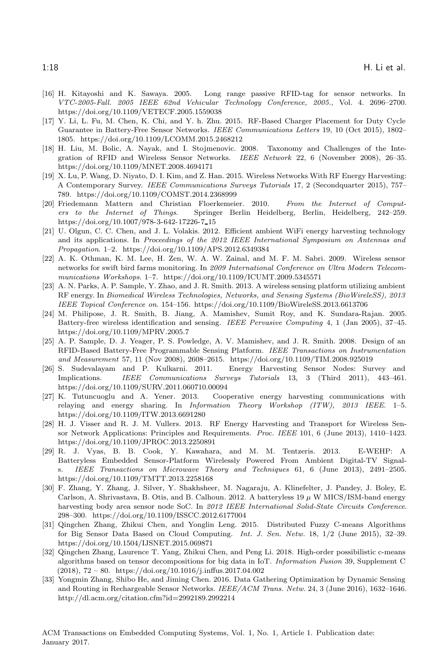- <span id="page-18-16"></span>[16] H. Kitayoshi and K. Sawaya. 2005. Long range passive RFID-tag for sensor networks. In *VTC-2005-Fall. 2005 IEEE 62nd Vehicular Technology Conference, 2005.*, Vol. 4. 2696–2700. <https://doi.org/10.1109/VETECF.2005.1559038>
- <span id="page-18-14"></span>[17] Y. Li, L. Fu, M. Chen, K. Chi, and Y. h. Zhu. 2015. RF-Based Charger Placement for Duty Cycle Guarantee in Battery-Free Sensor Networks. *IEEE Communications Letters* 19, 10 (Oct 2015), 1802– 1805.<https://doi.org/10.1109/LCOMM.2015.2468212>
- <span id="page-18-9"></span>[18] H. Liu, M. Bolic, A. Nayak, and I. Stojmenovic. 2008. Taxonomy and Challenges of the Integration of RFID and Wireless Sensor Networks. *IEEE Network* 22, 6 (November 2008), 26–35. <https://doi.org/10.1109/MNET.2008.4694171>
- <span id="page-18-6"></span>[19] X. Lu, P. Wang, D. Niyato, D. I. Kim, and Z. Han. 2015. Wireless Networks With RF Energy Harvesting: A Contemporary Survey. *IEEE Communications Surveys Tutorials* 17, 2 (Secondquarter 2015), 757– 789.<https://doi.org/10.1109/COMST.2014.2368999>
- <span id="page-18-2"></span>[20] Friedemann Mattern and Christian Floerkemeier. 2010. *From the Internet of Computers to the Internet of Things*. Springer Berlin Heidelberg, Berlin, Heidelberg, 242–259. [https://doi.org/10.1007/978-3-642-17226-7](https://doi.org/10.1007/978-3-642-17226-7_15) 15
- <span id="page-18-11"></span>[21] U. Olgun, C. C. Chen, and J. L. Volakis. 2012. Efficient ambient WiFi energy harvesting technology and its applications. In *Proceedings of the 2012 IEEE International Symposium on Antennas and Propagation*. 1–2.<https://doi.org/10.1109/APS.2012.6349384>
- <span id="page-18-17"></span>[22] A. K. Othman, K. M. Lee, H. Zen, W. A. W. Zainal, and M. F. M. Sabri. 2009. Wireless sensor networks for swift bird farms monitoring. In *2009 International Conference on Ultra Modern Telecommunications Workshops*. 1–7.<https://doi.org/10.1109/ICUMT.2009.5345571>
- <span id="page-18-7"></span>[23] A. N. Parks, A. P. Sample, Y. Zhao, and J. R. Smith. 2013. A wireless sensing platform utilizing ambient RF energy. In *Biomedical Wireless Technologies, Networks, and Sensing Systems (BioWireleSS), 2013 IEEE Topical Conference on*. 154–156.<https://doi.org/10.1109/BioWireleSS.2013.6613706>
- <span id="page-18-0"></span>[24] M. Philipose, J. R. Smith, B. Jiang, A. Mamishev, Sumit Roy, and K. Sundara-Rajan. 2005. Battery-free wireless identification and sensing. *IEEE Pervasive Computing* 4, 1 (Jan 2005), 37–45. <https://doi.org/10.1109/MPRV.2005.7>
- <span id="page-18-10"></span>[25] A. P. Sample, D. J. Yeager, P. S. Powledge, A. V. Mamishev, and J. R. Smith. 2008. Design of an RFID-Based Battery-Free Programmable Sensing Platform. *IEEE Transactions on Instrumentation and Measurement* 57, 11 (Nov 2008), 2608–2615.<https://doi.org/10.1109/TIM.2008.925019>
- <span id="page-18-5"></span>[26] S. Sudevalayam and P. Kulkarni. 2011. Energy Harvesting Sensor Nodes: Survey and Implications. *IEEE Communications Surveys Tutorials* 13, 3 (Third 2011), 443–461. <https://doi.org/10.1109/SURV.2011.060710.00094>
- <span id="page-18-15"></span>[27] K. Tutuncuoglu and A. Yener. 2013. Cooperative energy harvesting communications with relaying and energy sharing. In *Information Theory Workshop (ITW), 2013 IEEE*. 1–5. <https://doi.org/10.1109/ITW.2013.6691280>
- <span id="page-18-8"></span>[28] H. J. Visser and R. J. M. Vullers. 2013. RF Energy Harvesting and Transport for Wireless Sensor Network Applications: Principles and Requirements. *Proc. IEEE* 101, 6 (June 2013), 1410–1423. <https://doi.org/10.1109/JPROC.2013.2250891>
- <span id="page-18-12"></span>[29] R. J. Vyas, B. B. Cook, Y. Kawahara, and M. M. Tentzeris. 2013. E-WEHP: A Batteryless Embedded Sensor-Platform Wirelessly Powered From Ambient Digital-TV Signals. *IEEE Transactions on Microwave Theory and Techniques* 61, 6 (June 2013), 2491–2505. <https://doi.org/10.1109/TMTT.2013.2258168>
- <span id="page-18-13"></span>[30] F. Zhang, Y. Zhang, J. Silver, Y. Shakhsheer, M. Nagaraju, A. Klinefelter, J. Pandey, J. Boley, E. Carlson, A. Shrivastava, B. Otis, and B. Calhoun. 2012. A batteryless 19  $\mu$  W MICS/ISM-band energy harvesting body area sensor node SoC. In *2012 IEEE International Solid-State Circuits Conference*. 298–300.<https://doi.org/10.1109/ISSCC.2012.6177004>
- <span id="page-18-1"></span>[31] Qingchen Zhang, Zhikui Chen, and Yonglin Leng. 2015. Distributed Fuzzy C-means Algorithms for Big Sensor Data Based on Cloud Computing. *Int. J. Sen. Netw.* 18, 1/2 (June 2015), 32–39. <https://doi.org/10.1504/IJSNET.2015.069871>
- <span id="page-18-3"></span>[32] Qingchen Zhang, Laurence T. Yang, Zhikui Chen, and Peng Li. 2018. High-order possibilistic c-means algorithms based on tensor decompositions for big data in IoT. *Information Fusion* 39, Supplement C  $(2018), 72 - 80.$ <https://doi.org/10.1016/j.inffus.2017.04.002>
- <span id="page-18-4"></span>[33] Yongmin Zhang, Shibo He, and Jiming Chen. 2016. Data Gathering Optimization by Dynamic Sensing and Routing in Rechargeable Sensor Networks. *IEEE/ACM Trans. Netw.* 24, 3 (June 2016), 1632–1646. <http://dl.acm.org/citation.cfm?id=2992189.2992214>